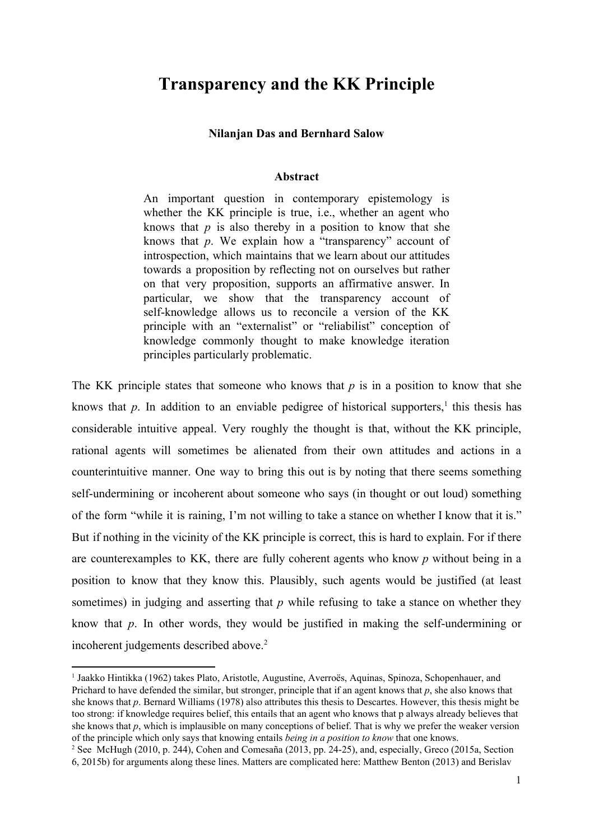# **Transparency and the KK Principle**

#### **Nilanjan Das and Bernhard Salow**

#### **Abstract**

An important question in contemporary epistemology is whether the KK principle is true, i.e., whether an agent who knows that *p* is also thereby in a position to know that she knows that *p*. We explain how a "transparency" account of introspection, which maintains that we learn about our attitudes towards a proposition by reflecting not on ourselves but rather on that very proposition, supports an affirmative answer. In particular, we show that the transparency account of self-knowledge allows us to reconcile a version of the KK principle with an "externalist" or "reliabilist" conception of knowledge commonly thought to make knowledge iteration principles particularly problematic.

The KK principle states that someone who knows that *p* is in a position to know that she knows that  $p$ . In addition to an enviable pedigree of historical supporters,<sup>1</sup> this thesis has considerable intuitive appeal. Very roughly the thought is that, without the KK principle, rational agents will sometimes be alienated from their own attitudes and actions in a counterintuitive manner. One way to bring this out is by noting that there seems something self-undermining or incoherent about someone who says (in thought or out loud) something of the form "while it is raining, I'm not willing to take a stance on whether I know that it is." But if nothing in the vicinity of the KK principle is correct, this is hard to explain. For if there are counterexamples to KK, there are fully coherent agents who know *p* without being in a position to know that they know this. Plausibly, such agents would be justified (at least sometimes) in judging and asserting that *p* while refusing to take a stance on whether they know that  $p$ . In other words, they would be justified in making the self-undermining or incoherent judgements described above. 2

<sup>1</sup> Jaakko Hintikka (1962) takes Plato, Aristotle, Augustine, Averroës, Aquinas, Spinoza, Schopenhauer, and Prichard to have defended the similar, but stronger, principle that if an agent knows that *p*, she also knows that she knows that *p*. Bernard Williams (1978) also attributes this thesis to Descartes. However, this thesis might be too strong: if knowledge requires belief, this entails that an agent who knows that p always already believes that she knows that *p*, which is implausible on many conceptions of belief. That is why we prefer the weaker version of the principle which only says that knowing entails *being in a position to know* that one knows.

<sup>2</sup> See McHugh (2010, p. 244), Cohen and Comesaña (2013, pp. 2425), and, especially, Greco (2015a, Section 6, 2015b) for arguments along these lines. Matters are complicated here: Matthew Benton (2013) and Berislav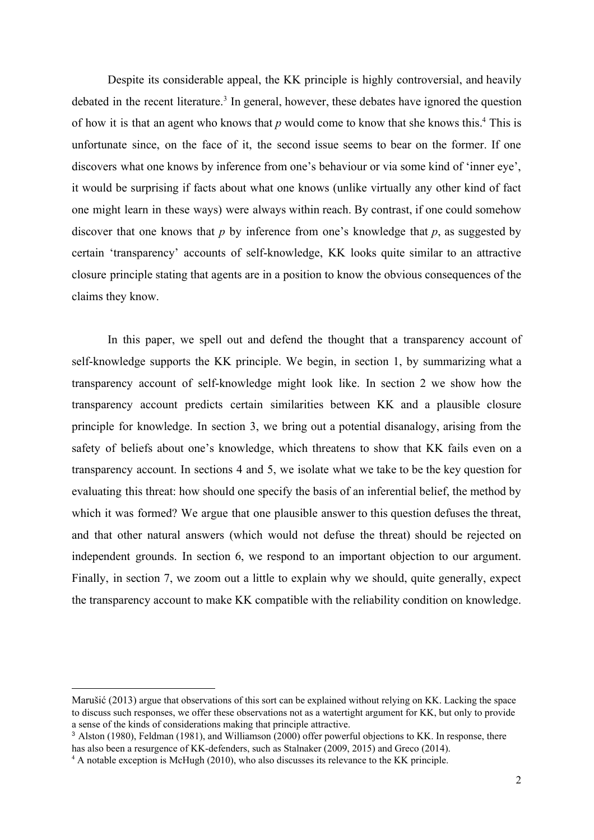Despite its considerable appeal, the KK principle is highly controversial, and heavily debated in the recent literature.<sup>3</sup> In general, however, these debates have ignored the question of how it is that an agent who knows that  $p$  would come to know that she knows this.<sup>4</sup> This is unfortunate since, on the face of it, the second issue seems to bear on the former. If one discovers what one knows by inference from one's behaviour or via some kind of 'inner eye', it would be surprising if facts about what one knows (unlike virtually any other kind of fact one might learn in these ways) were always within reach. By contrast, if one could somehow discover that one knows that *p* by inference from one's knowledge that *p*, as suggested by certain 'transparency' accounts of self-knowledge, KK looks quite similar to an attractive closure principle stating that agents are in a position to know the obvious consequences of the claims they know.

In this paper, we spell out and defend the thought that a transparency account of self-knowledge supports the KK principle. We begin, in section 1, by summarizing what a transparency account of selfknowledge might look like. In section 2 we show how the transparency account predicts certain similarities between KK and a plausible closure principle for knowledge. In section 3, we bring out a potential disanalogy, arising from the safety of beliefs about one's knowledge, which threatens to show that KK fails even on a transparency account. In sections 4 and 5, we isolate what we take to be the key question for evaluating this threat: how should one specify the basis of an inferential belief, the method by which it was formed? We argue that one plausible answer to this question defuses the threat, and that other natural answers (which would not defuse the threat) should be rejected on independent grounds. In section 6, we respond to an important objection to our argument. Finally, in section 7, we zoom out a little to explain why we should, quite generally, expect the transparency account to make KK compatible with the reliability condition on knowledge.

Marušić (2013) argue that observations of this sort can be explained without relying on KK. Lacking the space to discuss such responses, we offer these observations not as a watertight argument for KK, but only to provide a sense of the kinds of considerations making that principle attractive.

<sup>3</sup> Alston (1980), Feldman (1981), and Williamson (2000) offer powerful objections to KK. In response, there has also been a resurgence of KK-defenders, such as Stalnaker (2009, 2015) and Greco (2014).

<sup>4</sup> A notable exception is McHugh (2010), who also discusses its relevance to the KK principle.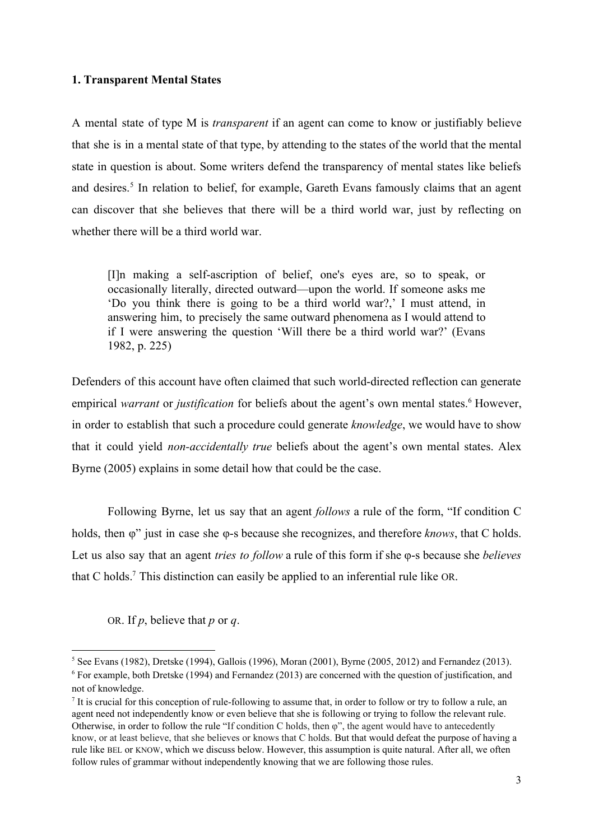# **1. Transparent Mental States**

A mental state of type M is *transparent* if an agent can come to know or justifiably believe that she is in a mental state of that type, by attending to the states of the world that the mental state in question is about. Some writers defend the transparency of mental states like beliefs and desires.<sup>5</sup> In relation to belief, for example, Gareth Evans famously claims that an agent can discover that she believes that there will be a third world war, just by reflecting on whether there will be a third world war.

[I]n making a self-ascription of belief, one's eyes are, so to speak, or occasionally literally, directed outward—upon the world. If someone asks me 'Do you think there is going to be a third world war?,' I must attend, in answering him, to precisely the same outward phenomena as I would attend to if I were answering the question 'Will there be a third world war?' (Evans 1982, p. 225)

Defenders of this account have often claimed that such world-directed reflection can generate empirical *warrant* or *justification* for beliefs about the agent's own mental states.<sup>6</sup> However, in order to establish that such a procedure could generate *knowledge*, we would have to show that it could yield *non-accidentally true* beliefs about the agent's own mental states. Alex Byrne (2005) explains in some detail how that could be the case.

Following Byrne, let us say that an agent *follows* a rule of the form, "If condition C holds, then φ" just in case she φ-s because she recognizes, and therefore *knows*, that C holds. Let us also say that an agent *tries to follow* a rule of this form if she φ-s because she *believes* that C holds.<sup>7</sup> This distinction can easily be applied to an inferential rule like OR.

OR. If *p*, believe that *p* or *q*.

 $5$  See Evans (1982), Dretske (1994), Gallois (1996), Moran (2001), Byrne (2005, 2012) and Fernandez (2013). <sup>6</sup> For example, both Dretske (1994) and Fernandez (2013) are concerned with the question of justification, and not of knowledge.

It is crucial for this conception of rule-following to assume that, in order to follow or try to follow a rule, an agent need not independently know or even believe that she is following or trying to follow the relevant rule. Otherwise, in order to follow the rule "If condition C holds, then  $\varphi$ ", the agent would have to antecedently know, or at least believe, that she believes or knows that C holds. But that would defeat the purpose of having a rule like BEL or KNOW, which we discuss below. However, this assumption is quite natural. After all, we often follow rules of grammar without independently knowing that we are following those rules.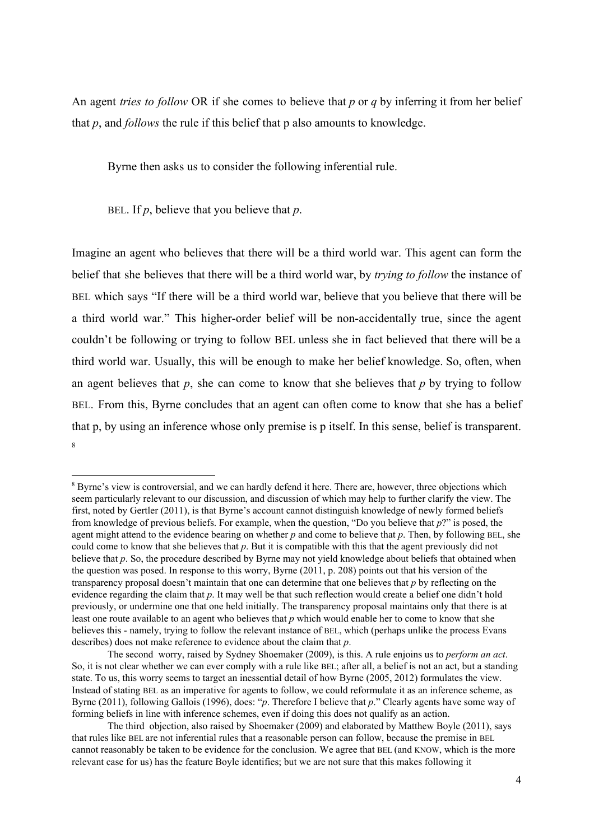An agent *tries to follow* OR if she comes to believe that *p* or *q* by inferring it from her belief that *p*, and *follows* the rule if this belief that p also amounts to knowledge.

Byrne then asks us to consider the following inferential rule.

BEL. If *p*, believe that you believe that *p*.

Imagine an agent who believes that there will be a third world war. This agent can form the belief that she believes that there will be a third world war, by *trying to follow* the instance of BEL which says "If there will be a third world war, believe that you believe that there will be a third world war." This higher-order belief will be non-accidentally true, since the agent couldn't be following or trying to follow BEL unless she in fact believed that there will be a third world war. Usually, this will be enough to make her belief knowledge. So, often, when an agent believes that  $p$ , she can come to know that she believes that  $p$  by trying to follow BEL. From this, Byrne concludes that an agent can often come to know that she has a belief that p, by using an inference whose only premise is p itself. In this sense, belief is transparent. 8

<sup>&</sup>lt;sup>8</sup> Byrne's view is controversial, and we can hardly defend it here. There are, however, three objections which seem particularly relevant to our discussion, and discussion of which may help to further clarify the view. The first, noted by Gertler (2011), is that Byrne's account cannot distinguish knowledge of newly formed beliefs from knowledge of previous beliefs. For example, when the question, "Do you believe that *p*?" is posed, the agent might attend to the evidence bearing on whether *p* and come to believe that *p*. Then, by following BEL, she could come to know that she believes that *p*. But it is compatible with this that the agent previously did not believe that *p*. So, the procedure described by Byrne may not yield knowledge about beliefs that obtained when the question was posed. In response to this worry, Byrne (2011, p. 208) points out that his version of the transparency proposal doesn't maintain that one can determine that one believes that *p* by reflecting on the evidence regarding the claim that *p*. It may well be that such reflection would create a belief one didn't hold previously, or undermine one that one held initially. The transparency proposal maintains only that there is at least one route available to an agent who believes that *p* which would enable her to come to know that she believes this - namely, trying to follow the relevant instance of BEL, which (perhaps unlike the process Evans describes) does not make reference to evidence about the claim that *p*.

The second worry, raised by Sydney Shoemaker (2009), is this. A rule enjoins us to *perform an act*. So, it is not clear whether we can ever comply with a rule like BEL; after all, a belief is not an act, but a standing state. To us, this worry seems to target an inessential detail of how Byrne (2005, 2012) formulates the view. Instead of stating BEL as an imperative for agents to follow, we could reformulate it as an inference scheme, as Byrne (2011), following Gallois (1996), does: "*p*. Therefore I believe that *p*." Clearly agents have some way of forming beliefs in line with inference schemes, even if doing this does not qualify as an action.

The third objection, also raised by Shoemaker (2009) and elaborated by Matthew Boyle (2011), says that rules like BEL are not inferential rules that a reasonable person can follow, because the premise in BEL cannot reasonably be taken to be evidence for the conclusion. We agree that BEL (and KNOW, which is the more relevant case for us) has the feature Boyle identifies; but we are not sure that this makes following it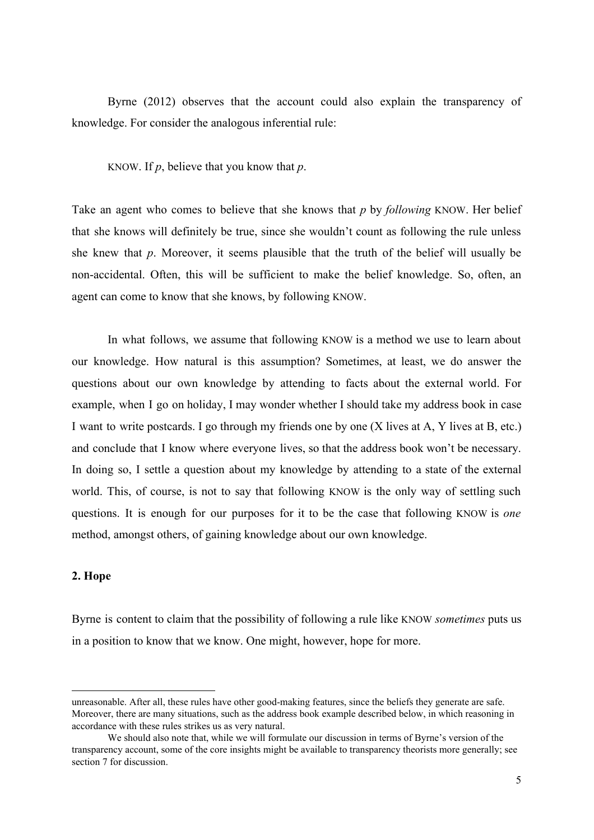Byrne (2012) observes that the account could also explain the transparency of knowledge. For consider the analogous inferential rule:

KNOW. If *p*, believe that you know that *p*.

Take an agent who comes to believe that she knows that *p* by *following* KNOW. Her belief that she knows will definitely be true, since she wouldn't count as following the rule unless she knew that *p*. Moreover, it seems plausible that the truth of the belief will usually be non-accidental. Often, this will be sufficient to make the belief knowledge. So, often, an agent can come to know that she knows, by following KNOW.

In what follows, we assume that following KNOW is a method we use to learn about our knowledge. How natural is this assumption? Sometimes, at least, we do answer the questions about our own knowledge by attending to facts about the external world. For example, when I go on holiday, I may wonder whether I should take my address book in case I want to write postcards. I go through my friends one by one (X lives at A, Y lives at B, etc.) and conclude that I know where everyone lives, so that the address book won't be necessary. In doing so, I settle a question about my knowledge by attending to a state of the external world. This, of course, is not to say that following KNOW is the only way of settling such questions. It is enough for our purposes for it to be the case that following KNOW is *one* method, amongst others, of gaining knowledge about our own knowledge.

# **2. Hope**

Byrne is content to claim that the possibility of following a rule like KNOW *sometimes* puts us in a position to know that we know. One might, however, hope for more.

unreasonable. After all, these rules have other good-making features, since the beliefs they generate are safe. Moreover, there are many situations, such as the address book example described below, in which reasoning in accordance with these rules strikes us as very natural.

We should also note that, while we will formulate our discussion in terms of Byrne's version of the transparency account, some of the core insights might be available to transparency theorists more generally; see section 7 for discussion.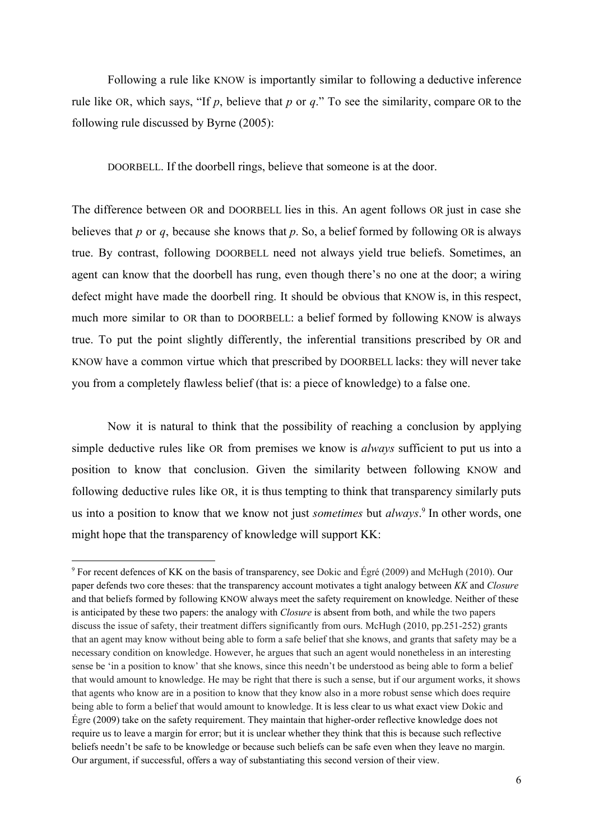Following a rule like KNOW is importantly similar to following a deductive inference rule like OR, which says, "If *p*, believe that *p* or *q*." To see the similarity, compare OR to the following rule discussed by Byrne (2005):

DOORBELL. If the doorbell rings, believe that someone is at the door.

The difference between OR and DOORBELL lies in this. An agent follows OR just in case she believes that *p* or *q*, because she knows that *p*. So, a belief formed by following OR is always true. By contrast, following DOORBELL need not always yield true beliefs. Sometimes, an agent can know that the doorbell has rung, even though there's no one at the door; a wiring defect might have made the doorbell ring. It should be obvious that KNOW is, in this respect, much more similar to OR than to DOORBELL: a belief formed by following KNOW is always true. To put the point slightly differently, the inferential transitions prescribed by OR and KNOW have a common virtue which that prescribed by DOORBELL lacks: they will never take you from a completely flawless belief (that is: a piece of knowledge) to a false one.

Now it is natural to think that the possibility of reaching a conclusion by applying simple deductive rules like OR from premises we know is *always* sufficient to put us into a position to know that conclusion. Given the similarity between following KNOW and following deductive rules like OR, it is thus tempting to think that transparency similarly puts us into a position to know that we know not just *sometimes* but *always*.<sup>9</sup> In other words, one might hope that the transparency of knowledge will support KK:

<sup>9</sup> For recent defences of KK on the basis of transparency, see Dokic and Égré (2009) and McHugh (2010). Our paper defends two core theses: that the transparency account motivates a tight analogy between *KK* and *Closure* and that beliefs formed by following KNOW always meet the safety requirement on knowledge. Neither of these is anticipated by these two papers: the analogy with *Closure* is absent from both, and while the two papers discuss the issue of safety, their treatment differs significantly from ours. McHugh (2010, pp.251-252) grants that an agent may know without being able to form a safe belief that she knows, and grants that safety may be a necessary condition on knowledge. However, he argues that such an agent would nonetheless in an interesting sense be 'in a position to know' that she knows, since this needn't be understood as being able to form a belief that would amount to knowledge. He may be right that there is such a sense, but if our argument works, it shows that agents who know are in a position to know that they know also in a more robust sense which does require being able to form a belief that would amount to knowledge. It is less clear to us what exact view Dokic and Egre  $(2009)$  take on the safety requirement. They maintain that higher-order reflective knowledge does not require us to leave a margin for error; but it is unclear whether they think that this is because such reflective beliefs needn't be safe to be knowledge or because such beliefs can be safe even when they leave no margin. Our argument, if successful, offers a way of substantiating this second version of their view.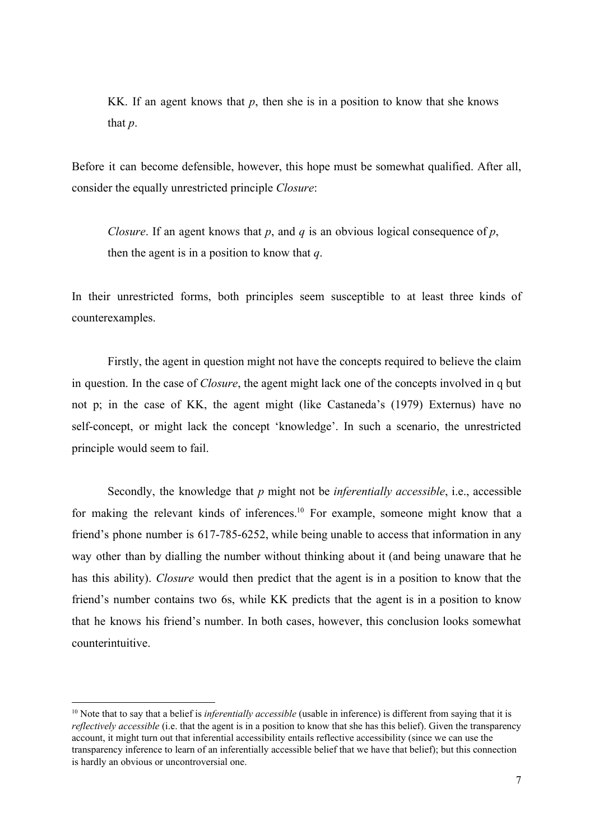KK. If an agent knows that  $p$ , then she is in a position to know that she knows that *p*.

Before it can become defensible, however, this hope must be somewhat qualified. After all, consider the equally unrestricted principle *Closure*:

*Closure*. If an agent knows that *p*, and *q* is an obvious logical consequence of *p*, then the agent is in a position to know that *q*.

In their unrestricted forms, both principles seem susceptible to at least three kinds of counterexamples.

Firstly, the agent in question might not have the concepts required to believe the claim in question. In the case of *Closure*, the agent might lack one of the concepts involved in q but not p; in the case of KK, the agent might (like Castaneda's (1979) Externus) have no self-concept, or might lack the concept 'knowledge'. In such a scenario, the unrestricted principle would seem to fail.

Secondly, the knowledge that *p* might not be *inferentially accessible*, i.e., accessible for making the relevant kinds of inferences.<sup>10</sup> For example, someone might know that a friend's phone number is  $617-785-6252$ , while being unable to access that information in any way other than by dialling the number without thinking about it (and being unaware that he has this ability). *Closure* would then predict that the agent is in a position to know that the friend's number contains two 6s, while KK predicts that the agent is in a position to know that he knows his friend's number. In both cases, however, this conclusion looks somewhat counterintuitive.

<sup>&</sup>lt;sup>10</sup> Note that to say that a belief is *inferentially accessible* (usable in inference) is different from saying that it is *reflectively accessible* (i.e. that the agent is in a position to know that she has this belief). Given the transparency account, it might turn out that inferential accessibility entails reflective accessibility (since we can use the transparency inference to learn of an inferentially accessible belief that we have that belief); but this connection is hardly an obvious or uncontroversial one.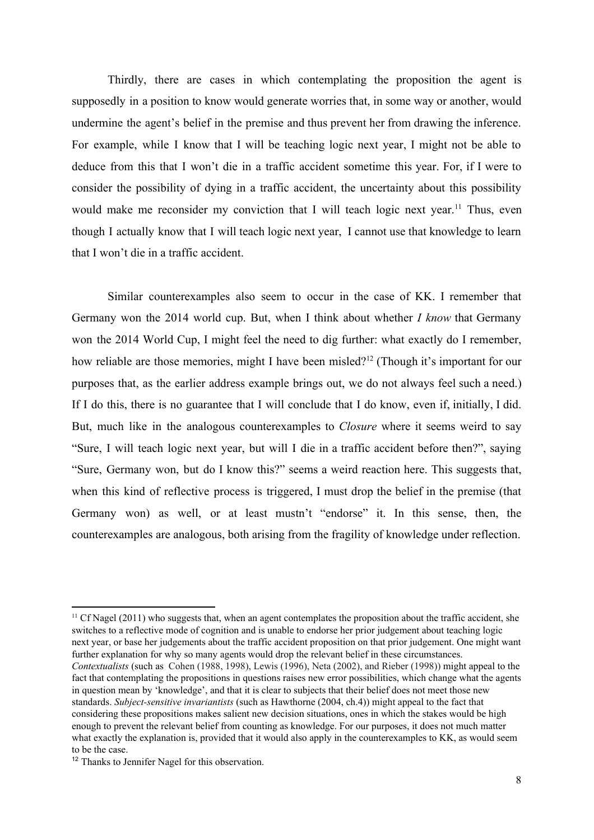Thirdly, there are cases in which contemplating the proposition the agent is supposedly in a position to know would generate worries that, in some way or another, would undermine the agent's belief in the premise and thus prevent her from drawing the inference. For example, while I know that I will be teaching logic next year, I might not be able to deduce from this that I won't die in a traffic accident sometime this year. For, if I were to consider the possibility of dying in a traffic accident, the uncertainty about this possibility would make me reconsider my conviction that I will teach logic next year.<sup>11</sup> Thus, even though I actually know that I will teach logic next year, I cannot use that knowledge to learn that I won't die in a traffic accident.

Similar counterexamples also seem to occur in the case of KK. I remember that Germany won the 2014 world cup. But, when I think about whether *I know* that Germany won the 2014 World Cup, I might feel the need to dig further: what exactly do I remember, how reliable are those memories, might I have been misled?<sup>12</sup> (Though it's important for our purposes that, as the earlier address example brings out, we do not always feel such a need.) If I do this, there is no guarantee that I will conclude that I do know, even if, initially, I did. But, much like in the analogous counterexamples to *Closure* where it seems weird to say "Sure, I will teach logic next year, but will I die in a traffic accident before then?", saying "Sure, Germany won, but do I know this?" seems a weird reaction here. This suggests that, when this kind of reflective process is triggered, I must drop the belief in the premise (that Germany won) as well, or at least mustn't "endorse" it. In this sense, then, the counterexamples are analogous, both arising from the fragility of knowledge under reflection.

 $11$  Cf Nagel (2011) who suggests that, when an agent contemplates the proposition about the traffic accident, she switches to a reflective mode of cognition and is unable to endorse her prior judgement about teaching logic next year, or base her judgements about the traffic accident proposition on that prior judgement. One might want further explanation for why so many agents would drop the relevant belief in these circumstances. *Contextualists* (such as Cohen (1988, 1998), Lewis (1996), Neta (2002), and Rieber (1998)) might appeal to the fact that contemplating the propositions in questions raises new error possibilities, which change what the agents in question mean by 'knowledge', and that it is clear to subjects that their belief does not meet those new standards. *Subject-sensitive invariantists* (such as Hawthorne (2004, ch.4)) might appeal to the fact that considering these propositions makes salient new decision situations, ones in which the stakes would be high enough to prevent the relevant belief from counting as knowledge. For our purposes, it does not much matter what exactly the explanation is, provided that it would also apply in the counterexamples to KK, as would seem to be the case.

<sup>&</sup>lt;sup>12</sup> Thanks to Jennifer Nagel for this observation.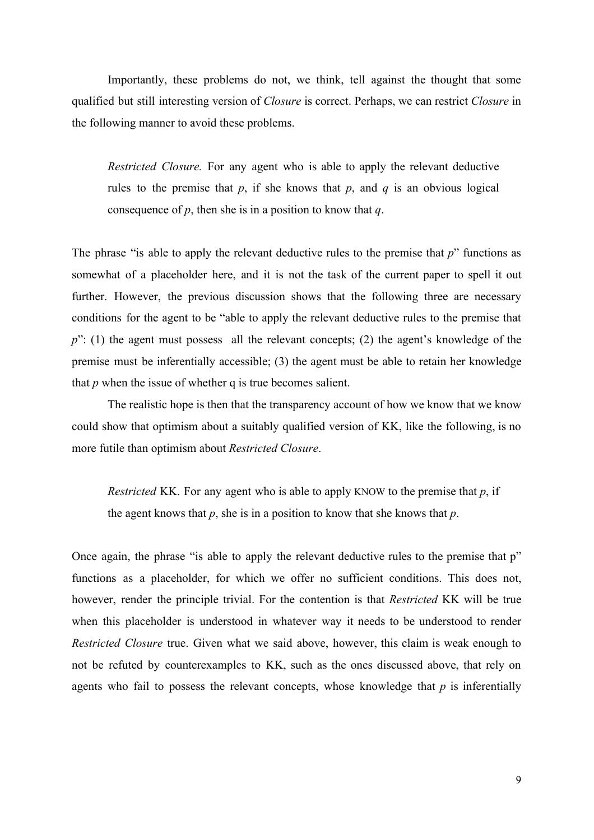Importantly, these problems do not, we think, tell against the thought that some qualified but still interesting version of *Closure* is correct. Perhaps, we can restrict *Closure* in the following manner to avoid these problems.

*Restricted Closure.* For any agent who is able to apply the relevant deductive rules to the premise that  $p$ , if she knows that  $p$ , and  $q$  is an obvious logical consequence of *p*, then she is in a position to know that *q*.

The phrase "is able to apply the relevant deductive rules to the premise that *p*" functions as somewhat of a placeholder here, and it is not the task of the current paper to spell it out further. However, the previous discussion shows that the following three are necessary conditions for the agent to be "able to apply the relevant deductive rules to the premise that p": (1) the agent must possess all the relevant concepts; (2) the agent's knowledge of the premise must be inferentially accessible; (3) the agent must be able to retain her knowledge that *p* when the issue of whether q is true becomes salient.

The realistic hope is then that the transparency account of how we know that we know could show that optimism about a suitably qualified version of KK, like the following, is no more futile than optimism about *Restricted Closure*.

*Restricted* KK. For any agent who is able to apply KNOW to the premise that *p*, if the agent knows that *p*, she is in a position to know that she knows that *p*.

Once again, the phrase "is able to apply the relevant deductive rules to the premise that p" functions as a placeholder, for which we offer no sufficient conditions. This does not, however, render the principle trivial. For the contention is that *Restricted* KK will be true when this placeholder is understood in whatever way it needs to be understood to render *Restricted Closure* true. Given what we said above, however, this claim is weak enough to not be refuted by counterexamples to KK, such as the ones discussed above, that rely on agents who fail to possess the relevant concepts, whose knowledge that *p* is inferentially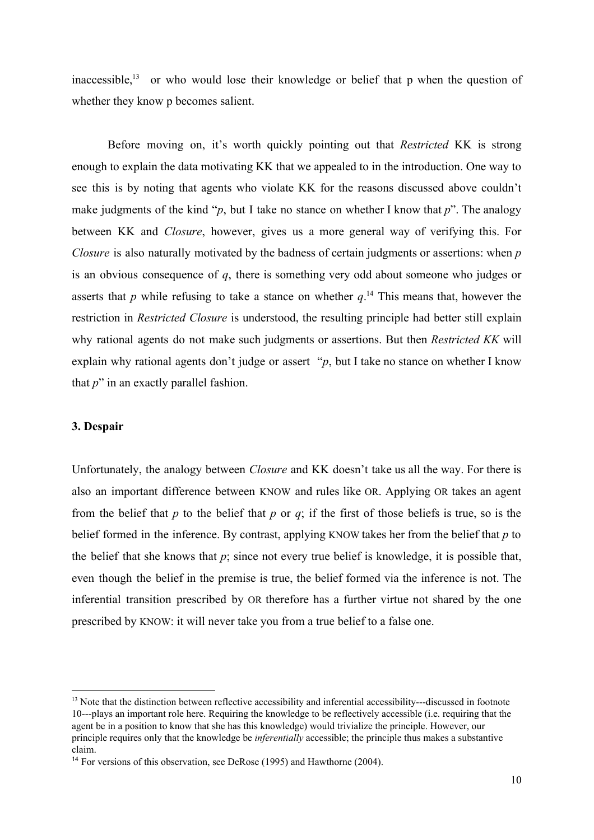inaccessible,<sup>13</sup> or who would lose their knowledge or belief that p when the question of whether they know p becomes salient.

Before moving on, it's worth quickly pointing out that *Restricted* KK is strong enough to explain the data motivating KK that we appealed to in the introduction. One way to see this is by noting that agents who violate KK for the reasons discussed above couldn't make judgments of the kind "*p*, but I take no stance on whether I know that *p*". The analogy between KK and *Closure*, however, gives us a more general way of verifying this. For *Closure* is also naturally motivated by the badness of certain judgments or assertions: when *p* is an obvious consequence of *q*, there is something very odd about someone who judges or asserts that p while refusing to take a stance on whether  $q<sup>14</sup>$ . This means that, however the restriction in *Restricted Closure* is understood, the resulting principle had better still explain why rational agents do not make such judgments or assertions. But then *Restricted KK* will explain why rational agents don't judge or assert "*p*, but I take no stance on whether I know that *p*" in an exactly parallel fashion.

# **3. Despair**

Unfortunately, the analogy between *Closure* and KK doesn't take us all the way. For there is also an important difference between KNOW and rules like OR. Applying OR takes an agent from the belief that *p* to the belief that *p* or *q*; if the first of those beliefs is true, so is the belief formed in the inference. By contrast, applying KNOW takes her from the belief that *p* to the belief that she knows that *p*; since not every true belief is knowledge, it is possible that, even though the belief in the premise is true, the belief formed via the inference is not. The inferential transition prescribed by OR therefore has a further virtue not shared by the one prescribed by KNOW: it will never take you from a true belief to a false one.

 $13$  Note that the distinction between reflective accessibility and inferential accessibility---discussed in footnote 10---plays an important role here. Requiring the knowledge to be reflectively accessible (i.e. requiring that the agent be in a position to know that she has this knowledge) would trivialize the principle. However, our principle requires only that the knowledge be *inferentially* accessible; the principle thus makes a substantive claim.

<sup>&</sup>lt;sup>14</sup> For versions of this observation, see DeRose (1995) and Hawthorne (2004).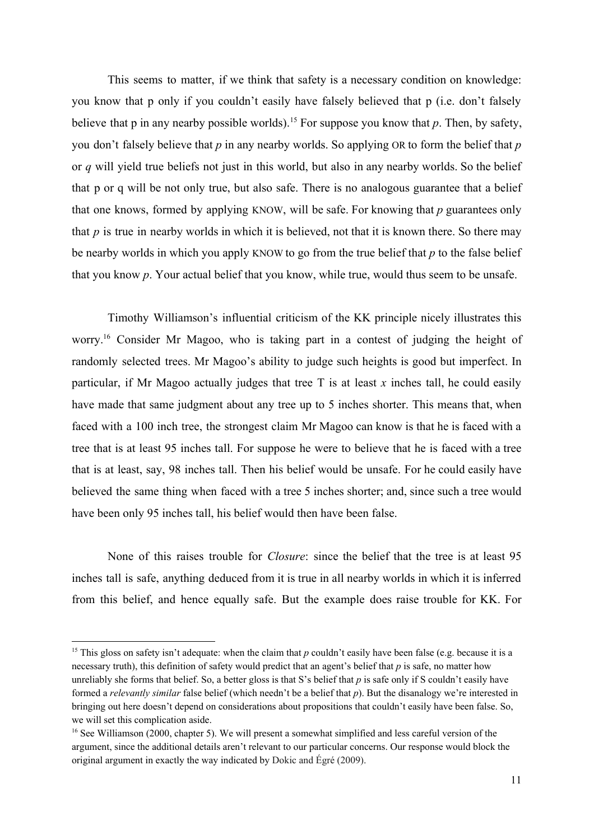This seems to matter, if we think that safety is a necessary condition on knowledge: you know that p only if you couldn't easily have falsely believed that p (i.e. don't falsely believe that  $p$  in any nearby possible worlds).<sup>15</sup> For suppose you know that  $p$ . Then, by safety, you don't falsely believe that *p* in any nearby worlds. So applying OR to form the belief that *p* or *q* will yield true beliefs not just in this world, but also in any nearby worlds. So the belief that p or q will be not only true, but also safe. There is no analogous guarantee that a belief that one knows, formed by applying KNOW, will be safe. For knowing that *p* guarantees only that *p* is true in nearby worlds in which it is believed, not that it is known there. So there may be nearby worlds in which you apply KNOW to go from the true belief that *p* to the false belief that you know *p*. Your actual belief that you know, while true, would thus seem to be unsafe.

Timothy Williamson's influential criticism of the KK principle nicely illustrates this worry.<sup>16</sup> Consider Mr Magoo, who is taking part in a contest of judging the height of randomly selected trees. Mr Magoo's ability to judge such heights is good but imperfect. In particular, if Mr Magoo actually judges that tree T is at least *x* inches tall, he could easily have made that same judgment about any tree up to 5 inches shorter. This means that, when faced with a 100 inch tree, the strongest claim Mr Magoo can know is that he is faced with a tree that is at least 95 inches tall. For suppose he were to believe that he is faced with a tree that is at least, say, 98 inches tall. Then his belief would be unsafe. For he could easily have believed the same thing when faced with a tree 5 inches shorter; and, since such a tree would have been only 95 inches tall, his belief would then have been false.

None of this raises trouble for *Closure*: since the belief that the tree is at least 95 inches tall is safe, anything deduced from it is true in all nearby worlds in which it is inferred from this belief, and hence equally safe. But the example does raise trouble for KK. For

<sup>&</sup>lt;sup>15</sup> This gloss on safety isn't adequate: when the claim that  $p$  couldn't easily have been false (e.g. because it is a necessary truth), this definition of safety would predict that an agent's belief that *p* is safe, no matter how unreliably she forms that belief. So, a better gloss is that S's belief that *p* is safe only if S couldn't easily have formed a *relevantly similar* false belief (which needn't be a belief that *p*). But the disanalogy we're interested in bringing out here doesn't depend on considerations about propositions that couldn't easily have been false. So, we will set this complication aside.

<sup>&</sup>lt;sup>16</sup> See Williamson (2000, chapter 5). We will present a somewhat simplified and less careful version of the argument, since the additional details aren't relevant to our particular concerns. Our response would block the original argument in exactly the way indicated by Dokic and Égré (2009).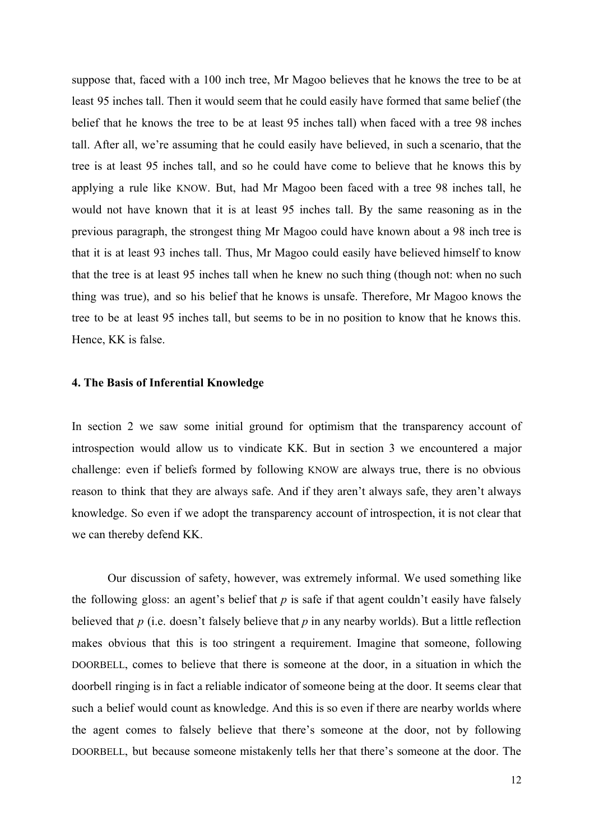suppose that, faced with a 100 inch tree, Mr Magoo believes that he knows the tree to be at least 95 inches tall. Then it would seem that he could easily have formed that same belief (the belief that he knows the tree to be at least 95 inches tall) when faced with a tree 98 inches tall. After all, we're assuming that he could easily have believed, in such a scenario, that the tree is at least 95 inches tall, and so he could have come to believe that he knows this by applying a rule like KNOW. But, had Mr Magoo been faced with a tree 98 inches tall, he would not have known that it is at least 95 inches tall. By the same reasoning as in the previous paragraph, the strongest thing Mr Magoo could have known about a 98 inch tree is that it is at least 93 inches tall. Thus, Mr Magoo could easily have believed himself to know that the tree is at least 95 inches tall when he knew no such thing (though not: when no such thing was true), and so his belief that he knows is unsafe. Therefore, Mr Magoo knows the tree to be at least 95 inches tall, but seems to be in no position to know that he knows this. Hence, KK is false.

#### **4. The Basis of Inferential Knowledge**

In section 2 we saw some initial ground for optimism that the transparency account of introspection would allow us to vindicate KK. But in section 3 we encountered a major challenge: even if beliefs formed by following KNOW are always true, there is no obvious reason to think that they are always safe. And if they aren't always safe, they aren't always knowledge. So even if we adopt the transparency account of introspection, it is not clear that we can thereby defend KK.

Our discussion of safety, however, was extremely informal. We used something like the following gloss: an agent's belief that *p* is safe if that agent couldn't easily have falsely believed that *p* (i.e. doesn't falsely believe that *p* in any nearby worlds). But a little reflection makes obvious that this is too stringent a requirement. Imagine that someone, following DOORBELL, comes to believe that there is someone at the door, in a situation in which the doorbell ringing is in fact a reliable indicator of someone being at the door. It seems clear that such a belief would count as knowledge. And this is so even if there are nearby worlds where the agent comes to falsely believe that there's someone at the door, not by following DOORBELL, but because someone mistakenly tells her that there's someone at the door. The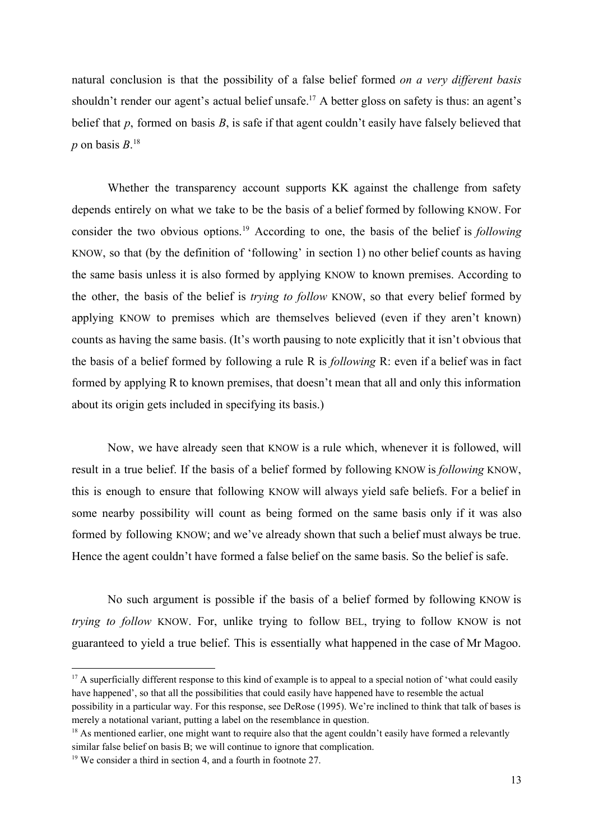natural conclusion is that the possibility of a false belief formed *on a very different basis* shouldn't render our agent's actual belief unsafe.<sup>17</sup> A better gloss on safety is thus: an agent's belief that *p*, formed on basis *B*, is safe if that agent couldn't easily have falsely believed that  $p$  on basis  $B$ <sup>18</sup>

Whether the transparency account supports KK against the challenge from safety depends entirely on what we take to be the basis of a belief formed by following KNOW. For consider the two obvious options.<sup>19</sup> According to one, the basis of the belief is *following* KNOW, so that (by the definition of 'following' in section 1) no other belief counts as having the same basis unless it is also formed by applying KNOW to known premises. According to the other, the basis of the belief is *trying to follow* KNOW, so that every belief formed by applying KNOW to premises which are themselves believed (even if they aren't known) counts as having the same basis. (It's worth pausing to note explicitly that it isn't obvious that the basis of a belief formed by following a rule R is *following* R: even if a belief was in fact formed by applying R to known premises, that doesn't mean that all and only this information about its origin gets included in specifying its basis.)

Now, we have already seen that KNOW is a rule which, whenever it is followed, will result in a true belief. If the basis of a belief formed by following KNOW is *following* KNOW, this is enough to ensure that following KNOW will always yield safe beliefs. For a belief in some nearby possibility will count as being formed on the same basis only if it was also formed by following KNOW; and we've already shown that such a belief must always be true. Hence the agent couldn't have formed a false belief on the same basis. So the belief is safe.

No such argument is possible if the basis of a belief formed by following KNOW is *trying to follow* KNOW. For, unlike trying to follow BEL, trying to follow KNOW is not guaranteed to yield a true belief. This is essentially what happened in the case of Mr Magoo.

<sup>&</sup>lt;sup>17</sup> A superficially different response to this kind of example is to appeal to a special notion of 'what could easily have happened', so that all the possibilities that could easily have happened have to resemble the actual possibility in a particular way. For this response, see DeRose (1995). We're inclined to think that talk of bases is merely a notational variant, putting a label on the resemblance in question.

<sup>&</sup>lt;sup>18</sup> As mentioned earlier, one might want to require also that the agent couldn't easily have formed a relevantly similar false belief on basis B; we will continue to ignore that complication.

<sup>&</sup>lt;sup>19</sup> We consider a third in section 4, and a fourth in footnote 27.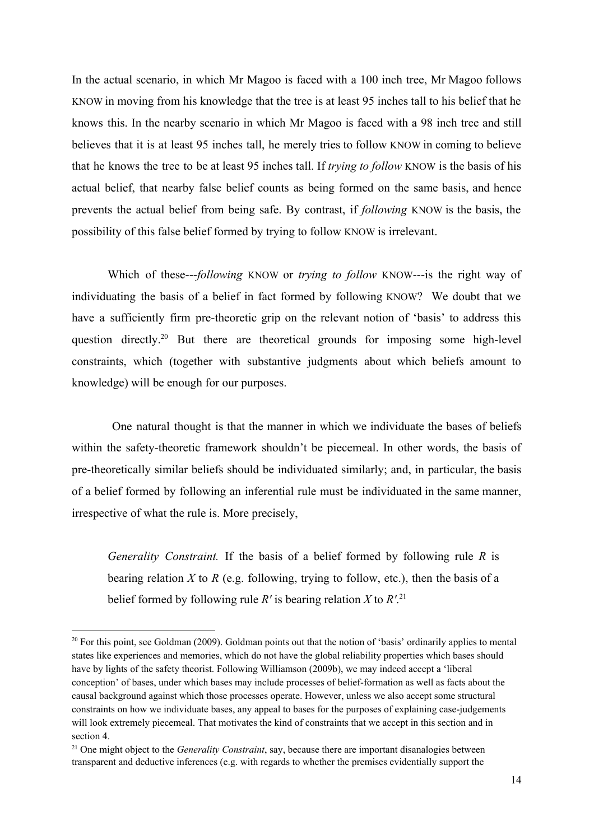In the actual scenario, in which Mr Magoo is faced with a 100 inch tree, Mr Magoo follows KNOW in moving from his knowledge that the tree is at least 95 inches tall to his belief that he knows this. In the nearby scenario in which Mr Magoo is faced with a 98 inch tree and still believes that it is at least 95 inches tall, he merely tries to follow KNOW in coming to believe that he knows the tree to be at least 95 inches tall. If *trying to follow* KNOW is the basis of his actual belief, that nearby false belief counts as being formed on the same basis, and hence prevents the actual belief from being safe. By contrast, if *following* KNOW is the basis, the possibility of this false belief formed by trying to follow KNOW is irrelevant.

Which of these---following KNOW or *trying to follow* KNOW---is the right way of individuating the basis of a belief in fact formed by following KNOW? We doubt that we have a sufficiently firm pre-theoretic grip on the relevant notion of 'basis' to address this question directly.<sup>20</sup> But there are theoretical grounds for imposing some high-level constraints, which (together with substantive judgments about which beliefs amount to knowledge) will be enough for our purposes.

One natural thought is that the manner in which we individuate the bases of beliefs within the safety-theoretic framework shouldn't be piecemeal. In other words, the basis of pretheoretically similar beliefs should be individuated similarly; and, in particular, the basis of a belief formed by following an inferential rule must be individuated in the same manner, irrespective of what the rule is. More precisely,

*Generality Constraint.* If the basis of a belief formed by following rule *R* is bearing relation *X* to *R* (e.g. following, trying to follow, etc.), then the basis of a belief formed by following rule  $R'$  is bearing relation  $X$  to  $R'$ .<sup>21</sup>

 $20$  For this point, see Goldman (2009). Goldman points out that the notion of 'basis' ordinarily applies to mental states like experiences and memories, which do not have the global reliability properties which bases should have by lights of the safety theorist. Following Williamson (2009b), we may indeed accept a 'liberal conception' of bases, under which bases may include processes of belief-formation as well as facts about the causal background against which those processes operate. However, unless we also accept some structural constraints on how we individuate bases, any appeal to bases for the purposes of explaining case-judgements will look extremely piecemeal. That motivates the kind of constraints that we accept in this section and in section 4.

<sup>21</sup> One might object to the *Generality Constraint*, say, because there are important disanalogies between transparent and deductive inferences (e.g. with regards to whether the premises evidentially support the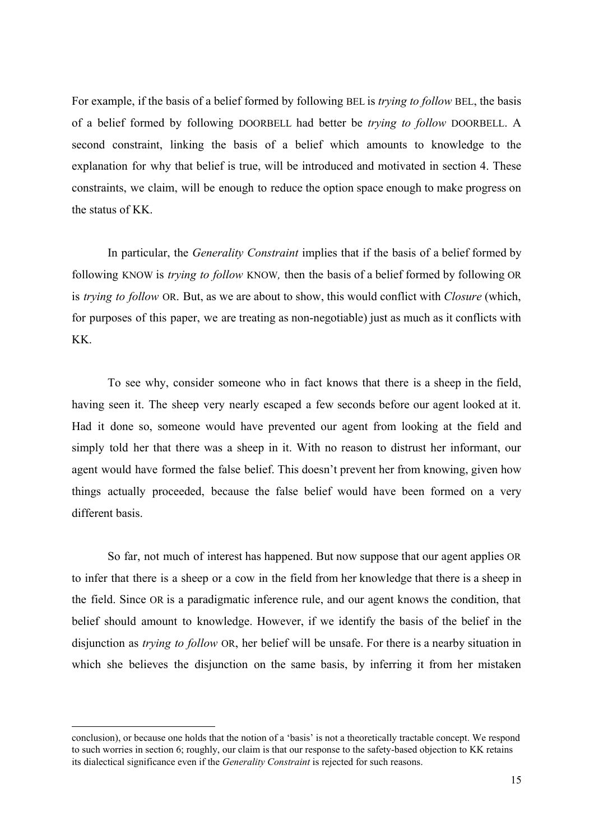For example, if the basis of a belief formed by following BEL is *trying to follow* BEL, the basis of a belief formed by following DOORBELL had better be *trying to follow* DOORBELL. A second constraint, linking the basis of a belief which amounts to knowledge to the explanation for why that belief is true, will be introduced and motivated in section 4. These constraints, we claim, will be enough to reduce the option space enough to make progress on the status of KK.

In particular, the *Generality Constraint* implies that if the basis of a belief formed by following KNOW is *trying to follow* KNOW*,* then the basis of a belief formed by following OR is *trying to follow* OR. But, as we are about to show, this would conflict with *Closure* (which, for purposes of this paper, we are treating as non-negotiable) just as much as it conflicts with KK.

To see why, consider someone who in fact knows that there is a sheep in the field, having seen it. The sheep very nearly escaped a few seconds before our agent looked at it. Had it done so, someone would have prevented our agent from looking at the field and simply told her that there was a sheep in it. With no reason to distrust her informant, our agent would have formed the false belief. This doesn't prevent her from knowing, given how things actually proceeded, because the false belief would have been formed on a very different basis.

So far, not much of interest has happened. But now suppose that our agent applies OR to infer that there is a sheep or a cow in the field from her knowledge that there is a sheep in the field. Since OR is a paradigmatic inference rule, and our agent knows the condition, that belief should amount to knowledge. However, if we identify the basis of the belief in the disjunction as *trying to follow* OR, her belief will be unsafe. For there is a nearby situation in which she believes the disjunction on the same basis, by inferring it from her mistaken

conclusion), or because one holds that the notion of a 'basis' is not a theoretically tractable concept. We respond to such worries in section 6; roughly, our claim is that our response to the safety-based objection to KK retains its dialectical significance even if the *Generality Constraint* is rejected for such reasons.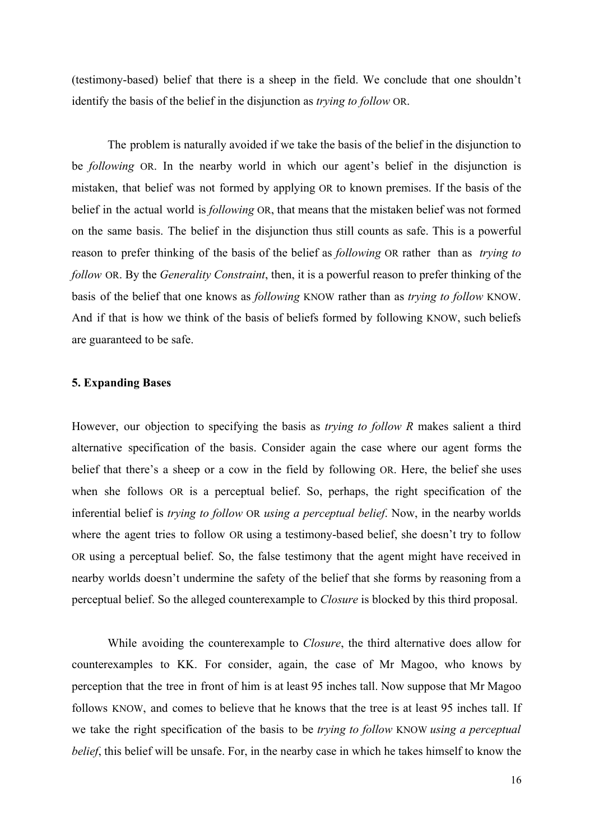(testimony-based) belief that there is a sheep in the field. We conclude that one shouldn't identify the basis of the belief in the disjunction as *trying to follow* OR.

The problem is naturally avoided if we take the basis of the belief in the disjunction to be *following* OR. In the nearby world in which our agent's belief in the disjunction is mistaken, that belief was not formed by applying OR to known premises. If the basis of the belief in the actual world is *following* OR, that means that the mistaken belief was not formed on the same basis. The belief in the disjunction thus still counts as safe. This is a powerful reason to prefer thinking of the basis of the belief as *following* OR rather than as *trying to follow* OR. By the *Generality Constraint*, then, it is a powerful reason to prefer thinking of the basis of the belief that one knows as *following* KNOW rather than as *trying to follow* KNOW. And if that is how we think of the basis of beliefs formed by following KNOW, such beliefs are guaranteed to be safe.

#### **5. Expanding Bases**

However, our objection to specifying the basis as *trying to follow R* makes salient a third alternative specification of the basis. Consider again the case where our agent forms the belief that there's a sheep or a cow in the field by following OR. Here, the belief she uses when she follows OR is a perceptual belief. So, perhaps, the right specification of the inferential belief is *trying to follow* OR *using a perceptual belief*. Now, in the nearby worlds where the agent tries to follow OR using a testimony-based belief, she doesn't try to follow OR using a perceptual belief. So, the false testimony that the agent might have received in nearby worlds doesn't undermine the safety of the belief that she forms by reasoning from a perceptual belief. So the alleged counterexample to *Closure* is blocked by this third proposal.

While avoiding the counterexample to *Closure*, the third alternative does allow for counterexamples to KK. For consider, again, the case of Mr Magoo, who knows by perception that the tree in front of him is at least 95 inches tall. Now suppose that Mr Magoo follows KNOW, and comes to believe that he knows that the tree is at least 95 inches tall. If we take the right specification of the basis to be *trying to follow* KNOW *using a perceptual belief*, this belief will be unsafe. For, in the nearby case in which he takes himself to know the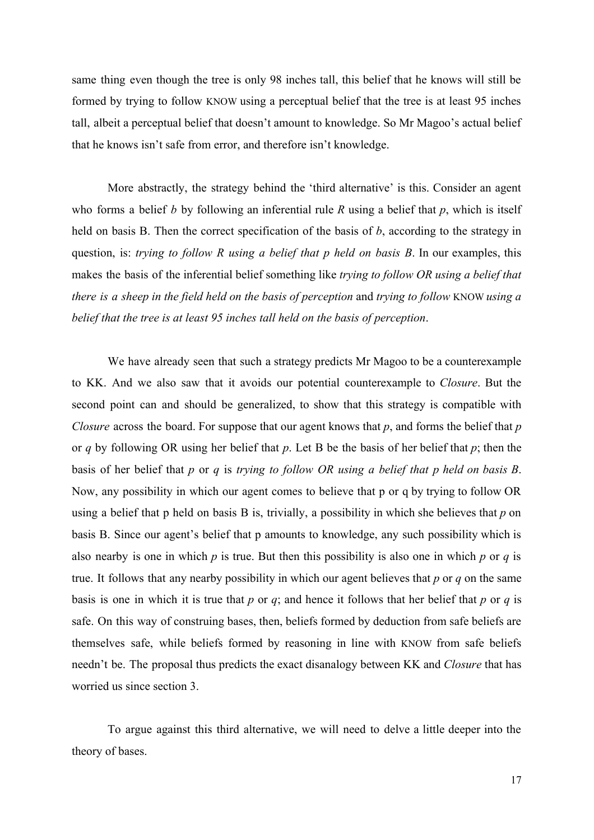same thing even though the tree is only 98 inches tall, this belief that he knows will still be formed by trying to follow KNOW using a perceptual belief that the tree is at least 95 inches tall, albeit a perceptual belief that doesn't amount to knowledge. So Mr Magoo's actual belief that he knows isn't safe from error, and therefore isn't knowledge.

More abstractly, the strategy behind the 'third alternative' is this. Consider an agent who forms a belief *b* by following an inferential rule *R* using a belief that *p*, which is itself held on basis B. Then the correct specification of the basis of *b*, according to the strategy in question, is: *trying to follow R using a belief that p held on basis B*. In our examples, this makes the basis of the inferential belief something like *trying to follow OR using a belief that there is a sheep in the field held on the basis of perception* and *trying to follow* KNOW *using a belief that the tree is at least 95 inches tall held on the basis of perception*.

We have already seen that such a strategy predicts Mr Magoo to be a counterexample to KK. And we also saw that it avoids our potential counterexample to *Closure*. But the second point can and should be generalized, to show that this strategy is compatible with *Closure* across the board. For suppose that our agent knows that *p*, and forms the belief that *p* or *q* by following OR using her belief that *p*. Let B be the basis of her belief that *p*; then the basis of her belief that *p* or *q* is *trying to follow OR using a belief that p held on basis B*. Now, any possibility in which our agent comes to believe that p or q by trying to follow OR using a belief that p held on basis B is, trivially, a possibility in which she believes that *p* on basis B. Since our agent's belief that p amounts to knowledge, any such possibility which is also nearby is one in which  $p$  is true. But then this possibility is also one in which  $p$  or  $q$  is true. It follows that any nearby possibility in which our agent believes that *p* or *q* on the same basis is one in which it is true that  $p$  or  $q$ ; and hence it follows that her belief that  $p$  or  $q$  is safe. On this way of construing bases, then, beliefs formed by deduction from safe beliefs are themselves safe, while beliefs formed by reasoning in line with KNOW from safe beliefs needn't be. The proposal thus predicts the exact disanalogy between KK and *Closure* that has worried us since section 3.

To argue against this third alternative, we will need to delve a little deeper into the theory of bases.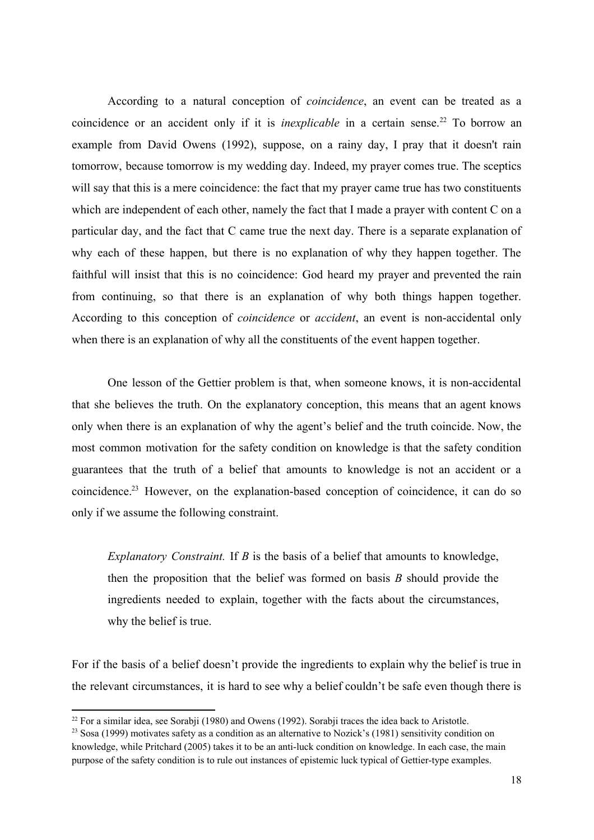According to a natural conception of *coincidence*, an event can be treated as a coincidence or an accident only if it is *inexplicable* in a certain sense.<sup>22</sup> To borrow an example from David Owens (1992), suppose, on a rainy day, I pray that it doesn't rain tomorrow, because tomorrow is my wedding day. Indeed, my prayer comes true. The sceptics will say that this is a mere coincidence: the fact that my prayer came true has two constituents which are independent of each other, namely the fact that I made a prayer with content C on a particular day, and the fact that C came true the next day. There is a separate explanation of why each of these happen, but there is no explanation of why they happen together. The faithful will insist that this is no coincidence: God heard my prayer and prevented the rain from continuing, so that there is an explanation of why both things happen together. According to this conception of *coincidence* or *accident*, an event is non-accidental only when there is an explanation of why all the constituents of the event happen together.

One lesson of the Gettier problem is that, when someone knows, it is non-accidental that she believes the truth. On the explanatory conception, this means that an agent knows only when there is an explanation of why the agent's belief and the truth coincide. Now, the most common motivation for the safety condition on knowledge is that the safety condition guarantees that the truth of a belief that amounts to knowledge is not an accident or a coincidence.<sup>23</sup> However, on the explanation-based conception of coincidence, it can do so only if we assume the following constraint.

*Explanatory Constraint.* If *B* is the basis of a belief that amounts to knowledge, then the proposition that the belief was formed on basis *B* should provide the ingredients needed to explain, together with the facts about the circumstances, why the belief is true.

For if the basis of a belief doesn't provide the ingredients to explain why the belief is true in the relevant circumstances, it is hard to see why a belief couldn't be safe even though there is

 $22$  For a similar idea, see Sorabii (1980) and Owens (1992). Sorabii traces the idea back to Aristotle.

<sup>&</sup>lt;sup>23</sup> Sosa (1999) motivates safety as a condition as an alternative to Nozick's (1981) sensitivity condition on knowledge, while Pritchard (2005) takes it to be an anti-luck condition on knowledge. In each case, the main purpose of the safety condition is to rule out instances of epistemic luck typical of Gettier-type examples.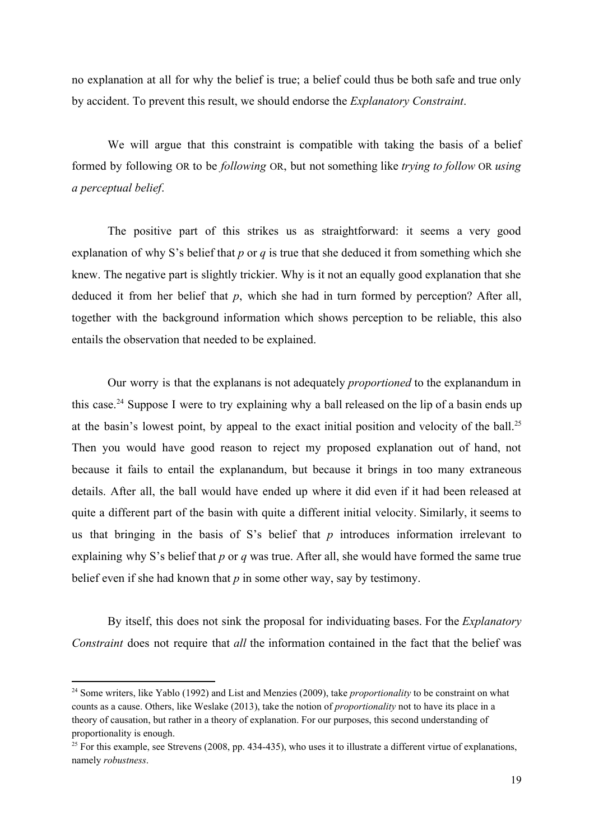no explanation at all for why the belief is true; a belief could thus be both safe and true only by accident. To prevent this result, we should endorse the *Explanatory Constraint*.

We will argue that this constraint is compatible with taking the basis of a belief formed by following OR to be *following* OR, but not something like *trying to follow* OR *using a perceptual belief*.

The positive part of this strikes us as straightforward: it seems a very good explanation of why S's belief that *p* or *q* is true that she deduced it from something which she knew. The negative part is slightly trickier. Why is it not an equally good explanation that she deduced it from her belief that *p*, which she had in turn formed by perception? After all, together with the background information which shows perception to be reliable, this also entails the observation that needed to be explained.

Our worry is that the explanans is not adequately *proportioned* to the explanandum in this case.<sup>24</sup> Suppose I were to try explaining why a ball released on the lip of a basin ends up at the basin's lowest point, by appeal to the exact initial position and velocity of the ball.<sup>25</sup> Then you would have good reason to reject my proposed explanation out of hand, not because it fails to entail the explanandum, but because it brings in too many extraneous details. After all, the ball would have ended up where it did even if it had been released at quite a different part of the basin with quite a different initial velocity. Similarly, it seems to us that bringing in the basis of S's belief that *p* introduces information irrelevant to explaining why S's belief that *p* or *q* was true. After all, she would have formed the same true belief even if she had known that  $p$  in some other way, say by testimony.

By itself, this does not sink the proposal for individuating bases. For the *Explanatory Constraint* does not require that *all* the information contained in the fact that the belief was

<sup>24</sup> Some writers, like Yablo (1992) and List and Menzies (2009), take *proportionality* to be constraint on what counts as a cause. Others, like Weslake (2013), take the notion of *proportionality* not to have its place in a theory of causation, but rather in a theory of explanation. For our purposes, this second understanding of proportionality is enough.

 $25$  For this example, see Strevens (2008, pp. 434-435), who uses it to illustrate a different virtue of explanations, namely *robustness*.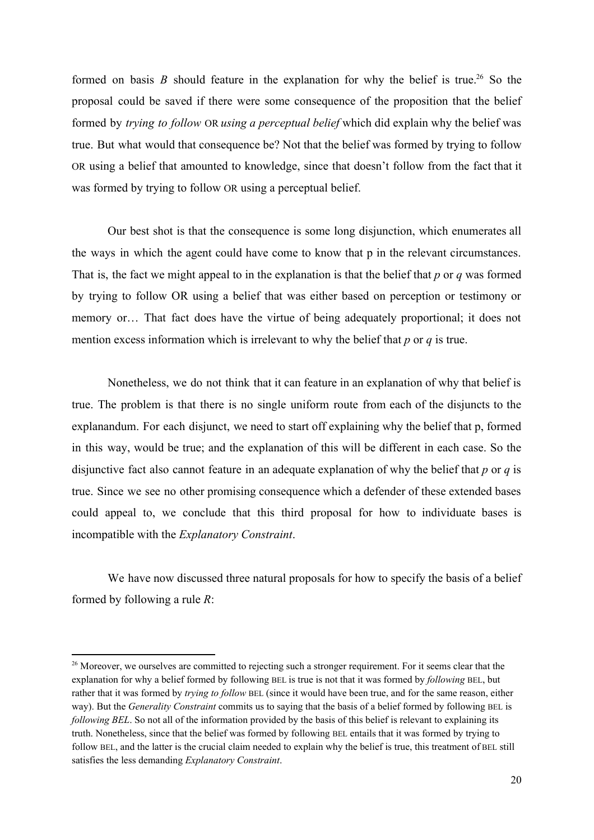formed on basis  $B$  should feature in the explanation for why the belief is true.<sup>26</sup> So the proposal could be saved if there were some consequence of the proposition that the belief formed by *trying to follow* OR *using a perceptual belief* which did explain why the belief was true. But what would that consequence be? Not that the belief was formed by trying to follow OR using a belief that amounted to knowledge, since that doesn't follow from the fact that it was formed by trying to follow OR using a perceptual belief.

Our best shot is that the consequence is some long disjunction, which enumerates all the ways in which the agent could have come to know that p in the relevant circumstances. That is, the fact we might appeal to in the explanation is that the belief that *p* or *q* was formed by trying to follow OR using a belief that was either based on perception or testimony or memory or… That fact does have the virtue of being adequately proportional; it does not mention excess information which is irrelevant to why the belief that *p* or *q* is true.

Nonetheless, we do not think that it can feature in an explanation of why that belief is true. The problem is that there is no single uniform route from each of the disjuncts to the explanandum. For each disjunct, we need to start off explaining why the belief that p, formed in this way, would be true; and the explanation of this will be different in each case. So the disjunctive fact also cannot feature in an adequate explanation of why the belief that *p* or *q* is true. Since we see no other promising consequence which a defender of these extended bases could appeal to, we conclude that this third proposal for how to individuate bases is incompatible with the *Explanatory Constraint*.

We have now discussed three natural proposals for how to specify the basis of a belief formed by following a rule *R*:

<sup>&</sup>lt;sup>26</sup> Moreover, we ourselves are committed to rejecting such a stronger requirement. For it seems clear that the explanation for why a belief formed by following BEL is true is not that it was formed by *following* BEL, but rather that it was formed by *trying to follow* BEL (since it would have been true, and for the same reason, either way). But the *Generality Constraint* commits us to saying that the basis of a belief formed by following BEL is *following BEL*. So not all of the information provided by the basis of this belief is relevant to explaining its truth. Nonetheless, since that the belief was formed by following BEL entails that it was formed by trying to follow BEL, and the latter is the crucial claim needed to explain why the belief is true, this treatment of BEL still satisfies the less demanding *Explanatory Constraint*.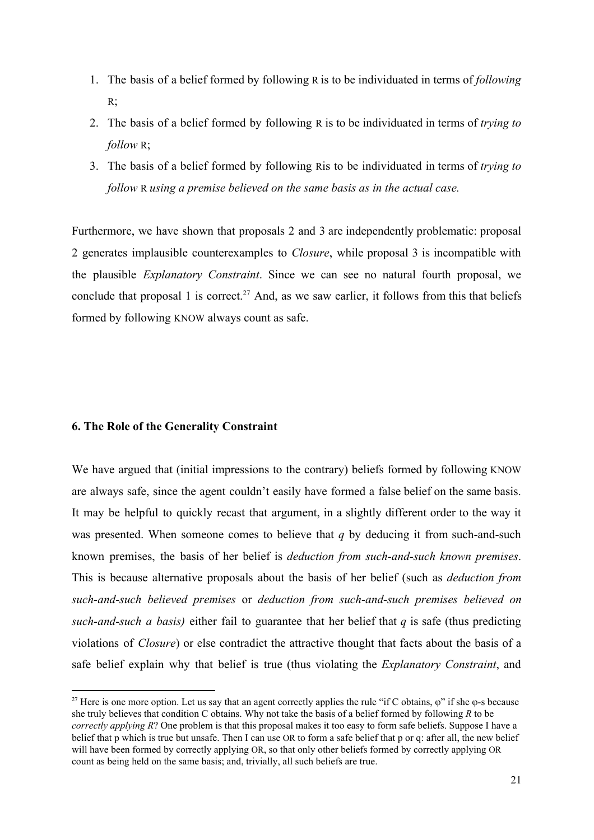- 1. The basis of a belief formed by following R is to be individuated in terms of *following* R;
- 2. The basis of a belief formed by following R is to be individuated in terms of *trying to follow* R;
- 3. The basis of a belief formed by following Ris to be individuated in terms of *trying to follow* R *using a premise believed on the same basis as in the actual case.*

Furthermore, we have shown that proposals 2 and 3 are independently problematic: proposal 2 generates implausible counterexamples to *Closure*, while proposal 3 is incompatible with the plausible *Explanatory Constraint*. Since we can see no natural fourth proposal, we conclude that proposal 1 is correct.<sup>27</sup> And, as we saw earlier, it follows from this that beliefs formed by following KNOW always count as safe.

# **6. The Role of the Generality Constraint**

We have argued that (initial impressions to the contrary) beliefs formed by following KNOW are always safe, since the agent couldn't easily have formed a false belief on the same basis. It may be helpful to quickly recast that argument, in a slightly different order to the way it was presented. When someone comes to believe that  $q$  by deducing it from such-and-such known premises, the basis of her belief is *deduction from such-and-such known premises.* This is because alternative proposals about the basis of her belief (such as *deduction from suchandsuch believed premises* or *deduction from suchandsuch premises believed on such-and-such a basis*) either fail to guarantee that her belief that  $q$  is safe (thus predicting violations of *Closure*) or else contradict the attractive thought that facts about the basis of a safe belief explain why that belief is true (thus violating the *Explanatory Constraint*, and

<sup>&</sup>lt;sup>27</sup> Here is one more option. Let us say that an agent correctly applies the rule "if C obtains,  $\varphi$ " if she  $\varphi$ -s because she truly believes that condition C obtains. Why not take the basis of a belief formed by following *R* to be *correctly applying R*? One problem is that this proposal makes it too easy to form safe beliefs. Suppose I have a belief that p which is true but unsafe. Then I can use OR to form a safe belief that p or q: after all, the new belief will have been formed by correctly applying OR, so that only other beliefs formed by correctly applying OR count as being held on the same basis; and, trivially, all such beliefs are true.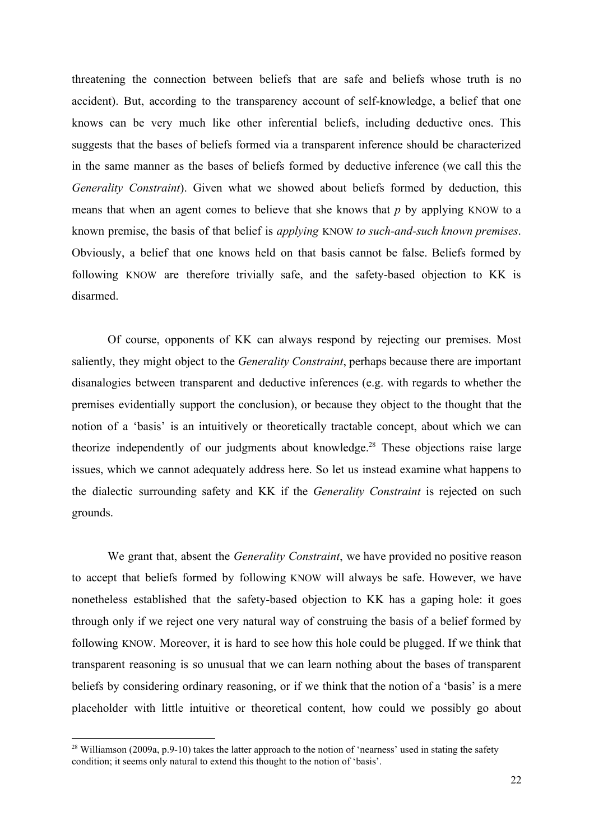threatening the connection between beliefs that are safe and beliefs whose truth is no accident). But, according to the transparency account of self-knowledge, a belief that one knows can be very much like other inferential beliefs, including deductive ones. This suggests that the bases of beliefs formed via a transparent inference should be characterized in the same manner as the bases of beliefs formed by deductive inference (we call this the *Generality Constraint*). Given what we showed about beliefs formed by deduction, this means that when an agent comes to believe that she knows that *p* by applying KNOW to a known premise, the basis of that belief is *applying* KNOW *to such-and-such known premises.* Obviously, a belief that one knows held on that basis cannot be false. Beliefs formed by following KNOW are therefore trivially safe, and the safety-based objection to KK is disarmed.

Of course, opponents of KK can always respond by rejecting our premises. Most saliently, they might object to the *Generality Constraint*, perhaps because there are important disanalogies between transparent and deductive inferences (e.g. with regards to whether the premises evidentially support the conclusion), or because they object to the thought that the notion of a 'basis' is an intuitively or theoretically tractable concept, about which we can theorize independently of our judgments about knowledge.<sup>28</sup> These objections raise large issues, which we cannot adequately address here. So let us instead examine what happens to the dialectic surrounding safety and KK if the *Generality Constraint* is rejected on such grounds.

We grant that, absent the *Generality Constraint*, we have provided no positive reason to accept that beliefs formed by following KNOW will always be safe. However, we have nonetheless established that the safety-based objection to KK has a gaping hole: it goes through only if we reject one very natural way of construing the basis of a belief formed by following KNOW. Moreover, it is hard to see how this hole could be plugged. If we think that transparent reasoning is so unusual that we can learn nothing about the bases of transparent beliefs by considering ordinary reasoning, or if we think that the notion of a 'basis' is a mere placeholder with little intuitive or theoretical content, how could we possibly go about

<sup>&</sup>lt;sup>28</sup> Williamson (2009a, p.9-10) takes the latter approach to the notion of 'nearness' used in stating the safety condition; it seems only natural to extend this thought to the notion of 'basis'.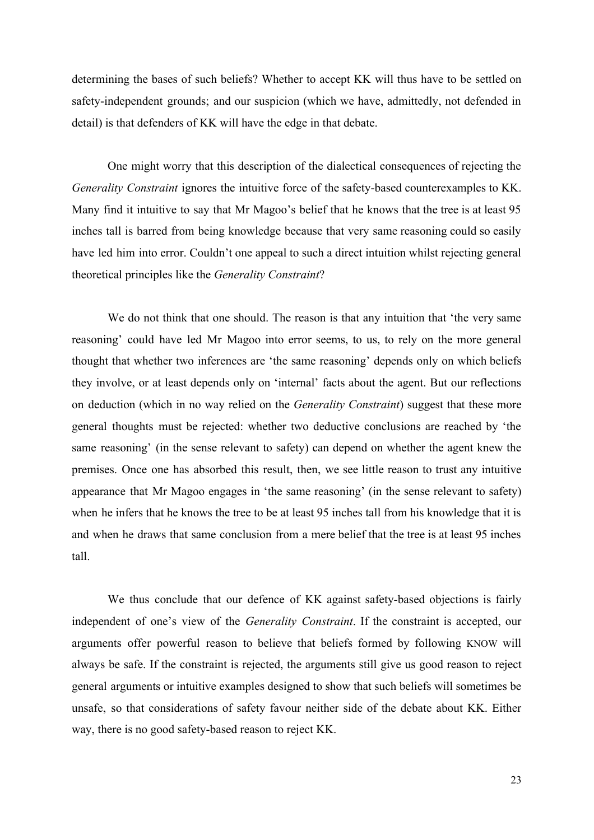determining the bases of such beliefs? Whether to accept KK will thus have to be settled on safety-independent grounds; and our suspicion (which we have, admittedly, not defended in detail) is that defenders of KK will have the edge in that debate.

One might worry that this description of the dialectical consequences of rejecting the *Generality Constraint* ignores the intuitive force of the safety-based counterexamples to KK. Many find it intuitive to say that Mr Magoo's belief that he knows that the tree is at least 95 inches tall is barred from being knowledge because that very same reasoning could so easily have led him into error. Couldn't one appeal to such a direct intuition whilst rejecting general theoretical principles like the *Generality Constraint*?

We do not think that one should. The reason is that any intuition that 'the very same reasoning' could have led Mr Magoo into error seems, to us, to rely on the more general thought that whether two inferences are 'the same reasoning' depends only on which beliefs they involve, or at least depends only on 'internal' facts about the agent. But our reflections on deduction (which in no way relied on the *Generality Constraint*) suggest that these more general thoughts must be rejected: whether two deductive conclusions are reached by 'the same reasoning' (in the sense relevant to safety) can depend on whether the agent knew the premises. Once one has absorbed this result, then, we see little reason to trust any intuitive appearance that Mr Magoo engages in 'the same reasoning' (in the sense relevant to safety) when he infers that he knows the tree to be at least 95 inches tall from his knowledge that it is and when he draws that same conclusion from a mere belief that the tree is at least 95 inches tall.

We thus conclude that our defence of KK against safety-based objections is fairly independent of one's view of the *Generality Constraint*. If the constraint is accepted, our arguments offer powerful reason to believe that beliefs formed by following KNOW will always be safe. If the constraint is rejected, the arguments still give us good reason to reject general arguments or intuitive examples designed to show that such beliefs will sometimes be unsafe, so that considerations of safety favour neither side of the debate about KK. Either way, there is no good safety-based reason to reject KK.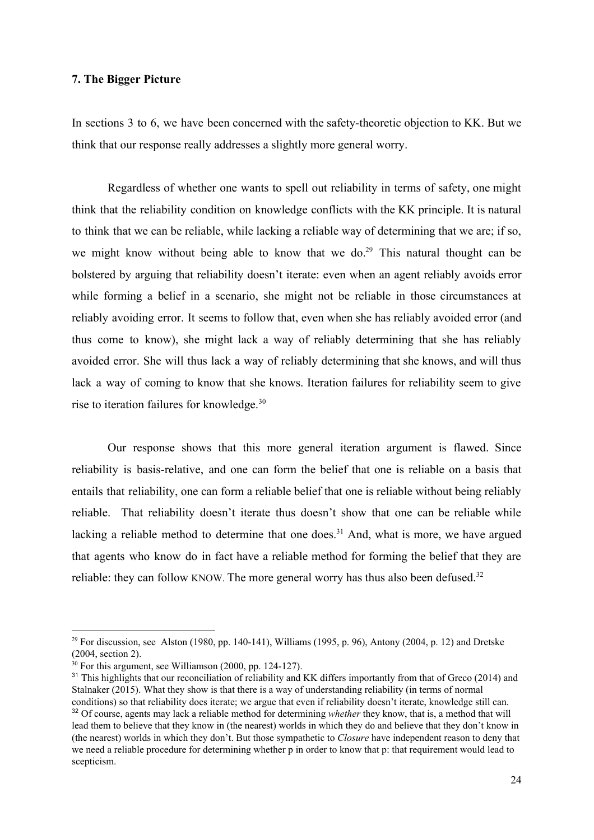#### **7. The Bigger Picture**

In sections 3 to 6, we have been concerned with the safety-theoretic objection to KK. But we think that our response really addresses a slightly more general worry.

Regardless of whether one wants to spell out reliability in terms of safety, one might think that the reliability condition on knowledge conflicts with the KK principle. It is natural to think that we can be reliable, while lacking a reliable way of determining that we are; if so, we might know without being able to know that we do.<sup>29</sup> This natural thought can be bolstered by arguing that reliability doesn't iterate: even when an agent reliably avoids error while forming a belief in a scenario, she might not be reliable in those circumstances at reliably avoiding error. It seems to follow that, even when she has reliably avoided error (and thus come to know), she might lack a way of reliably determining that she has reliably avoided error. She will thus lack a way of reliably determining that she knows, and will thus lack a way of coming to know that she knows. Iteration failures for reliability seem to give rise to iteration failures for knowledge. 30

Our response shows that this more general iteration argument is flawed. Since reliability is basis-relative, and one can form the belief that one is reliable on a basis that entails that reliability, one can form a reliable belief that one is reliable without being reliably reliable. That reliability doesn't iterate thus doesn't show that one can be reliable while lacking a reliable method to determine that one does.<sup>31</sup> And, what is more, we have argued that agents who know do in fact have a reliable method for forming the belief that they are reliable: they can follow KNOW. The more general worry has thus also been defused.<sup>32</sup>

<sup>&</sup>lt;sup>29</sup> For discussion, see Alston (1980, pp. 140-141), Williams (1995, p. 96), Antony (2004, p. 12) and Dretske (2004, section 2).

 $30$  For this argument, see Williamson (2000, pp. 124-127).

<sup>&</sup>lt;sup>31</sup> This highlights that our reconciliation of reliability and KK differs importantly from that of Greco (2014) and Stalnaker (2015). What they show is that there is a way of understanding reliability (in terms of normal conditions) so that reliability does iterate; we argue that even if reliability doesn't iterate, knowledge still can. <sup>32</sup> Of course, agents may lack a reliable method for determining *whether* they know, that is, a method that will lead them to believe that they know in (the nearest) worlds in which they do and believe that they don't know in (the nearest) worlds in which they don't. But those sympathetic to *Closure* have independent reason to deny that we need a reliable procedure for determining whether p in order to know that p: that requirement would lead to scepticism.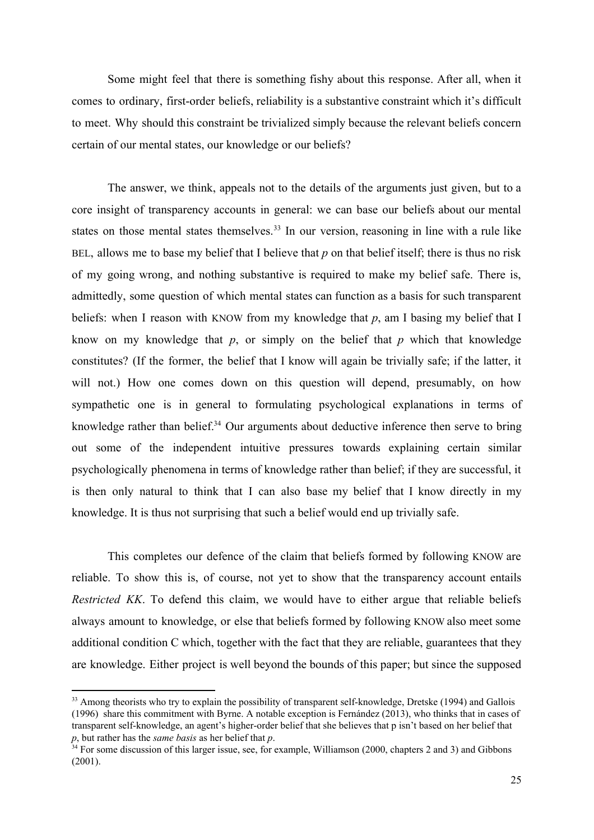Some might feel that there is something fishy about this response. After all, when it comes to ordinary, first-order beliefs, reliability is a substantive constraint which it's difficult to meet. Why should this constraint be trivialized simply because the relevant beliefs concern certain of our mental states, our knowledge or our beliefs?

The answer, we think, appeals not to the details of the arguments just given, but to a core insight of transparency accounts in general: we can base our beliefs about our mental states on those mental states themselves.<sup>33</sup> In our version, reasoning in line with a rule like BEL, allows me to base my belief that I believe that *p* on that belief itself; there is thus no risk of my going wrong, and nothing substantive is required to make my belief safe. There is, admittedly, some question of which mental states can function as a basis for such transparent beliefs: when I reason with KNOW from my knowledge that *p*, am I basing my belief that I know on my knowledge that *p*, or simply on the belief that *p* which that knowledge constitutes? (If the former, the belief that I know will again be trivially safe; if the latter, it will not.) How one comes down on this question will depend, presumably, on how sympathetic one is in general to formulating psychological explanations in terms of knowledge rather than belief. $34$  Our arguments about deductive inference then serve to bring out some of the independent intuitive pressures towards explaining certain similar psychologically phenomena in terms of knowledge rather than belief; if they are successful, it is then only natural to think that I can also base my belief that I know directly in my knowledge. It is thus not surprising that such a belief would end up trivially safe.

This completes our defence of the claim that beliefs formed by following KNOW are reliable. To show this is, of course, not yet to show that the transparency account entails *Restricted KK*. To defend this claim, we would have to either argue that reliable beliefs always amount to knowledge, or else that beliefs formed by following KNOW also meet some additional condition C which, together with the fact that they are reliable, guarantees that they are knowledge. Either project is well beyond the bounds of this paper; but since the supposed

<sup>&</sup>lt;sup>33</sup> Among theorists who try to explain the possibility of transparent self-knowledge, Dretske (1994) and Gallois (1996) share this commitment with Byrne. A notable exception is Fernández (2013), who thinks that in cases of transparent self-knowledge, an agent's higher-order belief that she believes that p isn't based on her belief that *p*, but rather has the *same basis* as her belief that *p*.

<sup>&</sup>lt;sup>34</sup> For some discussion of this larger issue, see, for example, Williamson (2000, chapters 2 and 3) and Gibbons (2001).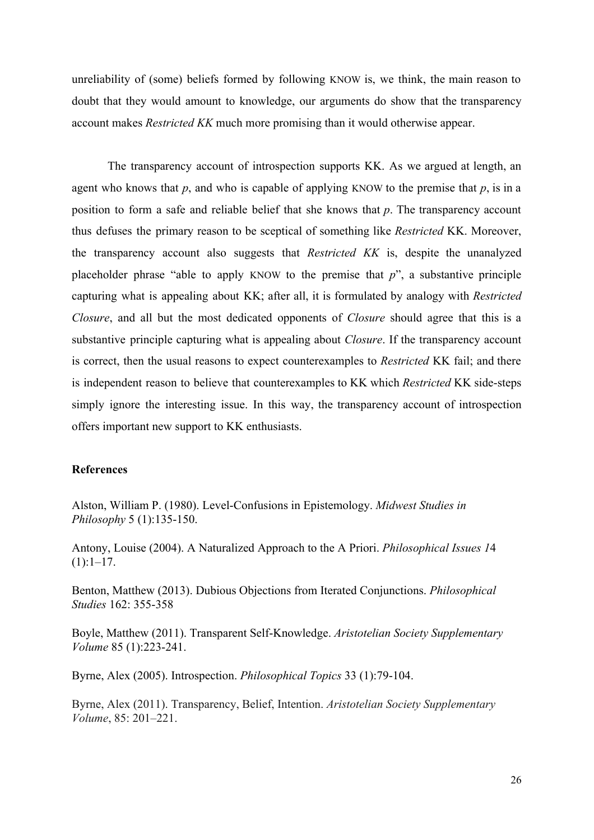unreliability of (some) beliefs formed by following KNOW is, we think, the main reason to doubt that they would amount to knowledge, our arguments do show that the transparency account makes *Restricted KK* much more promising than it would otherwise appear.

The transparency account of introspection supports KK. As we argued at length, an agent who knows that  $p$ , and who is capable of applying KNOW to the premise that  $p$ , is in a position to form a safe and reliable belief that she knows that *p*. The transparency account thus defuses the primary reason to be sceptical of something like *Restricted* KK. Moreover, the transparency account also suggests that *Restricted KK* is, despite the unanalyzed placeholder phrase "able to apply KNOW to the premise that *p*", a substantive principle capturing what is appealing about KK; after all, it is formulated by analogy with *Restricted Closure*, and all but the most dedicated opponents of *Closure* should agree that this is a substantive principle capturing what is appealing about *Closure*. If the transparency account is correct, then the usual reasons to expect counterexamples to *Restricted* KK fail; and there is independent reason to believe that counterexamples to KK which *Restricted* KK side-steps simply ignore the interesting issue. In this way, the transparency account of introspection offers important new support to KK enthusiasts.

# **References**

Alston, William P. (1980). Level-Confusions in Epistemology. *Midwest Studies in Philosophy* 5 (1):135-150.

Antony, Louise (2004). A Naturalized Approach to the A Priori. *Philosophical Issues 1*4  $(1):1-17.$ 

Benton, Matthew (2013). Dubious Objections from Iterated Conjunctions. *Philosophical Studies* 162: 355-358

Boyle, Matthew (2011). Transparent Self-Knowledge. Aristotelian Society Supplementary *Volume* 85 (1):223-241.

Byrne, Alex (2005). Introspection. *Philosophical Topics* 33 (1):79-104.

Byrne, Alex (2011). Transparency, Belief, Intention. *Aristotelian Society Supplementary Volume*, 85: 201–221.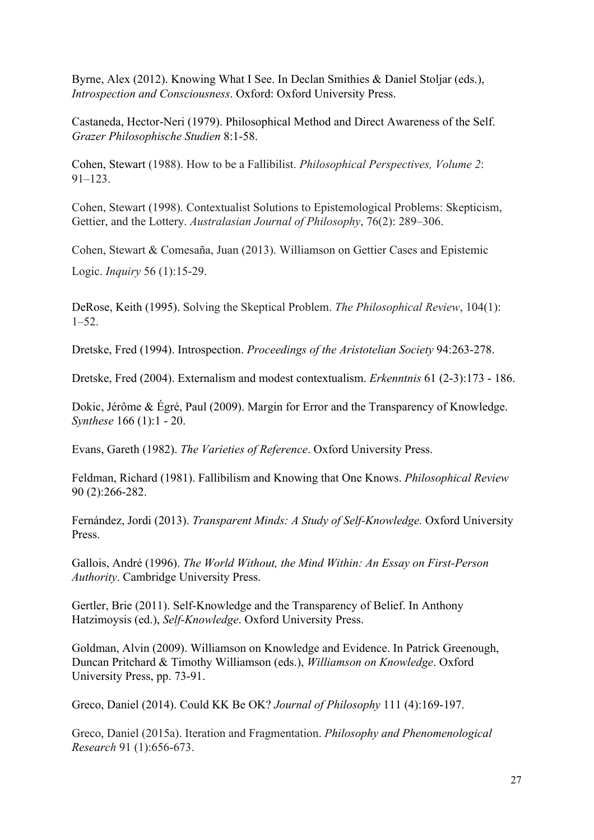Byrne, Alex (2012). Knowing What I See. In Declan Smithies & Daniel Stoljar (eds.), *Introspection and Consciousness*. Oxford: Oxford University Press.

Castaneda, Hector-Neri (1979). Philosophical Method and Direct Awareness of the Self. *Grazer Philosophische Studien 8:1-58.* 

Cohen, Stewart (1988). How to be a Fallibilist. *Philosophical Perspectives, Volume 2*: 91–123.

Cohen, Stewart (1998). Contextualist Solutions to Epistemological Problems: Skepticism, Gettier, and the Lottery. *Australasian Journal of Philosophy*, 76(2): 289–306.

Cohen, Stewart & Comesaña, Juan (2013). Williamson on Gettier Cases and Epistemic Logic. *Inquiry* 56 (1):1529.

DeRose, Keith (1995). Solving the Skeptical Problem. *The Philosophical Review*, 104(1): 1–52.

Dretske, Fred (1994). Introspection. *Proceedings of the Aristotelian Society* 94:263-278.

Dretske, Fred (2004). Externalism and modest contextualism. *Erkenntnis* 61 (2-3):173 - 186.

Dokic, Jérôme & Égré, Paul (2009). Margin for Error and the Transparency of Knowledge. *Synthese* 166 (1):1 - 20.

Evans, Gareth (1982). *The Varieties of Reference*. Oxford University Press.

Feldman, Richard (1981). Fallibilism and Knowing that One Knows. *Philosophical Review* 90 (2):266282.

Fernández, Jordi (2013). *Transparent Minds: A Study of Self-Knowledge*. Oxford University Press.

Gallois, André (1996). *The World Without, the Mind Within: An Essay on First-Person Authority*. Cambridge University Press.

Gertler, Brie (2011). Self-Knowledge and the Transparency of Belief. In Anthony Hatzimoysis (ed.), *Self-Knowledge*. Oxford University Press.

Goldman, Alvin (2009). Williamson on Knowledge and Evidence. In Patrick Greenough, Duncan Pritchard & Timothy Williamson (eds.), *Williamson on Knowledge*. Oxford University Press, pp. 73-91.

Greco, Daniel (2014). Could KK Be OK? *Journal of Philosophy* 111 (4):169-197.

Greco, Daniel (2015a). Iteration and Fragmentation. *Philosophy and Phenomenological Research* 91 (1):656-673.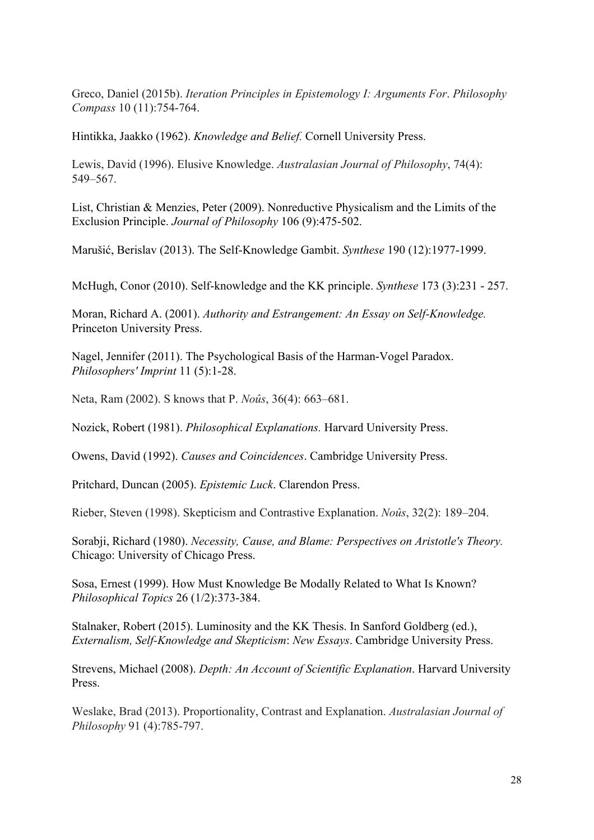Greco, Daniel (2015b). *Iteration Principles in Epistemology I: Arguments For*. *Philosophy Compass* 10 (11):754-764.

Hintikka, Jaakko (1962). *Knowledge and Belief.* Cornell University Press.

Lewis, David (1996). Elusive Knowledge. *Australasian Journal of Philosophy*, 74(4): 549–567.

List, Christian & Menzies, Peter (2009). Nonreductive Physicalism and the Limits of the Exclusion Principle. *Journal of Philosophy* 106 (9):475-502.

Marušić, Berislav (2013). The Self-Knowledge Gambit. *Synthese* 190 (12):1977-1999.

McHugh, Conor (2010). Self-knowledge and the KK principle. *Synthese* 173 (3):231 - 257.

Moran, Richard A. (2001). *Authority and Estrangement: An Essay on Self-Knowledge.* Princeton University Press.

Nagel, Jennifer (2011). The Psychological Basis of the Harman-Vogel Paradox. *Philosophers' Imprint* 11 (5):1-28.

Neta, Ram (2002). S knows that P. *Noûs*, 36(4): 663–681.

Nozick, Robert (1981). *Philosophical Explanations.* Harvard University Press.

Owens, David (1992). *Causes and Coincidences*. Cambridge University Press.

Pritchard, Duncan (2005). *Epistemic Luck*. Clarendon Press.

Rieber, Steven (1998). Skepticism and Contrastive Explanation. *Noûs*, 32(2): 189–204.

Sorabji, Richard (1980). *Necessity, Cause, and Blame: Perspectives on Aristotle's Theory.* Chicago: University of Chicago Press.

Sosa, Ernest (1999). How Must Knowledge Be Modally Related to What Is Known? *Philosophical Topics* 26 (1/2):373-384.

Stalnaker, Robert (2015). Luminosity and the KK Thesis. In Sanford Goldberg (ed.), *Externalism, Self-Knowledge and Skepticism: New Essays. Cambridge University Press.* 

Strevens, Michael (2008). *Depth: An Account of Scientific Explanation*. Harvard University Press.

Weslake, Brad (2013). Proportionality, Contrast and Explanation. *Australasian Journal of Philosophy* 91 (4):785-797.